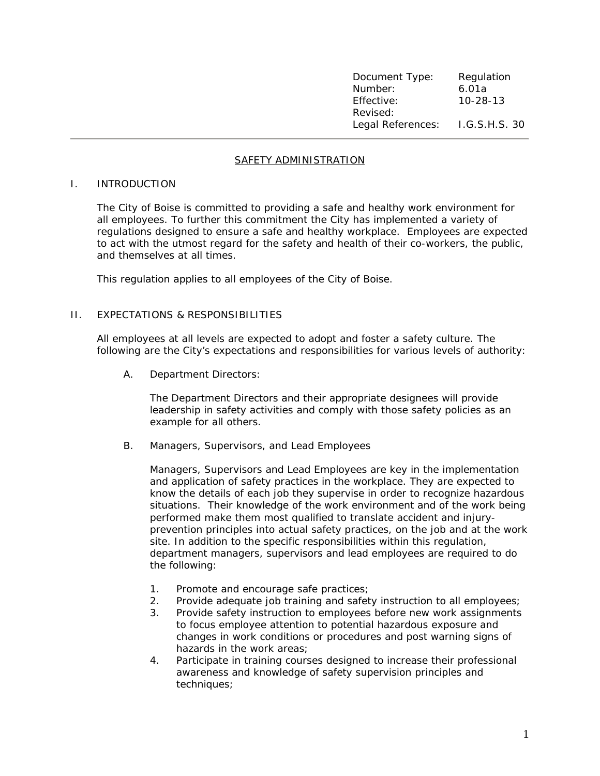| Document Type:    | Regulation     |
|-------------------|----------------|
| Number:           | 6.01a          |
| Effective:        | $10 - 28 - 13$ |
| Revised:          |                |
| Legal References: | I.G.S.H.S. 30  |

## SAFETY ADMINISTRATION

## I. INTRODUCTION

The City of Boise is committed to providing a safe and healthy work environment for all employees. To further this commitment the City has implemented a variety of regulations designed to ensure a safe and healthy workplace. Employees are expected to act with the utmost regard for the safety and health of their co-workers, the public, and themselves at all times.

This regulation applies to all employees of the City of Boise.

## II. EXPECTATIONS & RESPONSIBILITIES

All employees at all levels are expected to adopt and foster a safety culture. The following are the City's expectations and responsibilities for various levels of authority:

A. Department Directors:

The Department Directors and their appropriate designees will provide leadership in safety activities and comply with those safety policies as an example for all others.

B. Managers, Supervisors, and Lead Employees

Managers, Supervisors and Lead Employees are key in the implementation and application of safety practices in the workplace. They are expected to know the details of each job they supervise in order to recognize hazardous situations. Their knowledge of the work environment and of the work being performed make them most qualified to translate accident and injuryprevention principles into actual safety practices, on the job and at the work site. In addition to the specific responsibilities within this regulation, department managers, supervisors and lead employees are required to do the following:

- 1. Promote and encourage safe practices;
- 2. Provide adequate job training and safety instruction to all employees;
- 3. Provide safety instruction to employees before new work assignments to focus employee attention to potential hazardous exposure and changes in work conditions or procedures and post warning signs of hazards in the work areas;
- 4. Participate in training courses designed to increase their professional awareness and knowledge of safety supervision principles and techniques;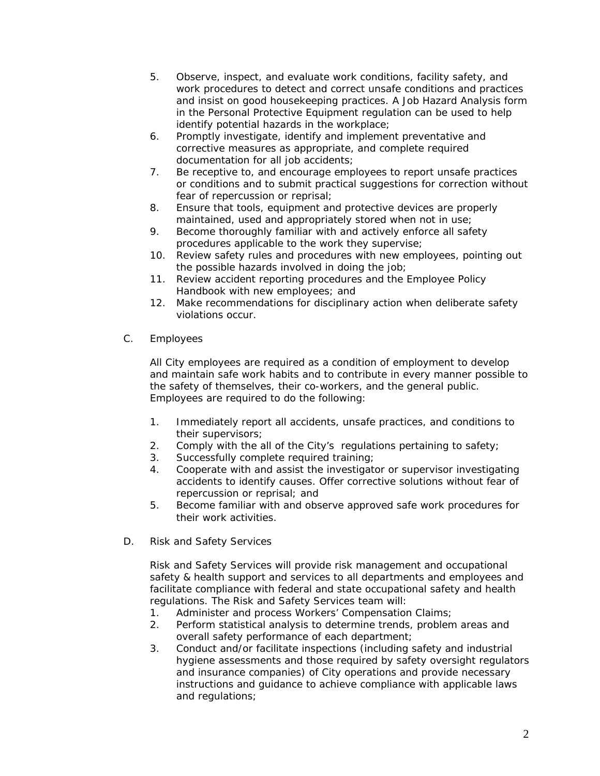- 5. Observe, inspect, and evaluate work conditions, facility safety, and work procedures to detect and correct unsafe conditions and practices and insist on good housekeeping practices. A Job Hazard Analysis form in the Personal Protective Equipment regulation can be used to help identify potential hazards in the workplace;
- 6. Promptly investigate, identify and implement preventative and corrective measures as appropriate, and complete required documentation for all job accidents;
- 7. Be receptive to, and encourage employees to report unsafe practices or conditions and to submit practical suggestions for correction without fear of repercussion or reprisal;
- 8. Ensure that tools, equipment and protective devices are properly maintained, used and appropriately stored when not in use;
- 9. Become thoroughly familiar with and actively enforce all safety procedures applicable to the work they supervise;
- 10. Review safety rules and procedures with new employees, pointing out the possible hazards involved in doing the job;
- 11. Review accident reporting procedures and the Employee Policy Handbook with new employees; and
- 12. Make recommendations for disciplinary action when deliberate safety violations occur.
- C. Employees

All City employees are required as a condition of employment to develop and maintain safe work habits and to contribute in every manner possible to the safety of themselves, their co-workers, and the general public. Employees are required to do the following:

- 1. Immediately report all accidents, unsafe practices, and conditions to their supervisors;
- 2. Comply with the all of the City's regulations pertaining to safety;
- 3. Successfully complete required training;
- 4. Cooperate with and assist the investigator or supervisor investigating accidents to identify causes. Offer corrective solutions without fear of repercussion or reprisal; and
- 5. Become familiar with and observe approved safe work procedures for their work activities.
- D. Risk and Safety Services

Risk and Safety Services will provide risk management and occupational safety & health support and services to all departments and employees and facilitate compliance with federal and state occupational safety and health regulations. The Risk and Safety Services team will:

- 1. Administer and process Workers' Compensation Claims;
- 2. Perform statistical analysis to determine trends, problem areas and overall safety performance of each department;
- 3. Conduct and/or facilitate inspections (including safety and industrial hygiene assessments and those required by safety oversight regulators and insurance companies) of City operations and provide necessary instructions and guidance to achieve compliance with applicable laws and regulations;